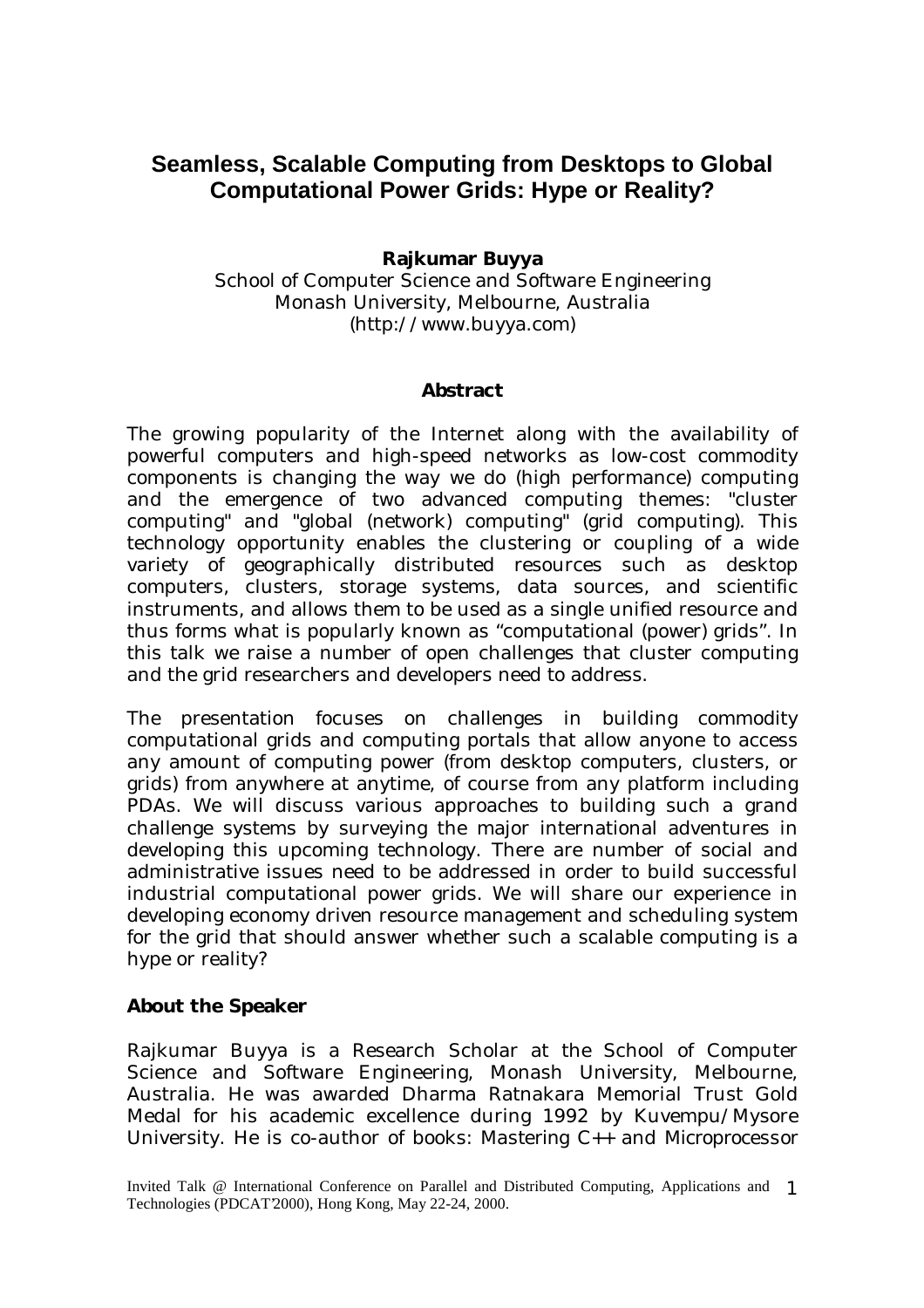## **Seamless, Scalable Computing from Desktops to Global Computational Power Grids: Hype or Reality?**

## **Rajkumar Buyya**

School of Computer Science and Software Engineering Monash University, Melbourne, Australia (http://www.buyya.com)

## **Abstract**

The growing popularity of the Internet along with the availability of powerful computers and high-speed networks as low-cost commodity components is changing the way we do (high performance) computing and the emergence of two advanced computing themes: "cluster computing" and "global (network) computing" (grid computing). This technology opportunity enables the clustering or coupling of a wide variety of geographically distributed resources such as desktop computers, clusters, storage systems, data sources, and scientific instruments, and allows them to be used as a single unified resource and thus forms what is popularly known as "computational (power) grids". In this talk we raise a number of open challenges that cluster computing and the grid researchers and developers need to address.

The presentation focuses on challenges in building commodity computational grids and computing portals that allow anyone to access any amount of computing power (from desktop computers, clusters, or grids) from anywhere at anytime, of course from any platform including PDAs. We will discuss various approaches to building such a grand challenge systems by surveying the major international adventures in developing this upcoming technology. There are number of social and administrative issues need to be addressed in order to build successful industrial computational power grids. We will share our experience in developing economy driven resource management and scheduling system for the grid that should answer whether such a scalable computing is a hype or reality?

## **About the Speaker**

Rajkumar Buyya is a Research Scholar at the School of Computer Science and Software Engineering, Monash University, Melbourne, Australia. He was awarded Dharma Ratnakara Memorial Trust Gold Medal for his academic excellence during 1992 by Kuvempu/Mysore University. He is co-author of books: *Mastering C++* and *Microprocessor*

Invited Talk @ International Conference on Parallel and Distributed Computing, Applications and 1 Technologies (PDCAT'2000), Hong Kong, May 22-24, 2000.